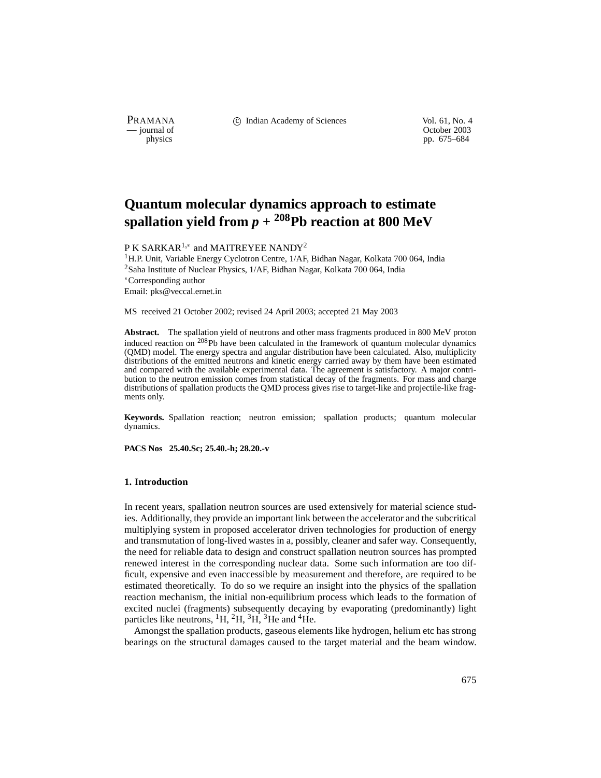PRAMANA <sup>comp</sup> computed contained in the Indian Academy of Sciences Vol. 61, No. 4<br>
computed vol. 61, No. 4<br>
computed vol. 61, No. 4

physics<br>
physics<br>
pp. 675–684 pp. 675–684

# **Quantum molecular dynamics approach to estimate spallation yield from**  $p + 208$ **Pb reaction at 800 MeV**

 $P$  K SARKAR<sup>1,\*</sup> and MAITREYEE NANDY<sup>2</sup>

<sup>1</sup>H.P. Unit, Variable Energy Cyclotron Centre, 1/AF, Bidhan Nagar, Kolkata 700 064, India <sup>2</sup>Saha Institute of Nuclear Physics, 1/AF, Bidhan Nagar, Kolkata 700 064, India Corresponding author Email: pks@veccal.ernet.in

MS received 21 October 2002; revised 24 April 2003; accepted 21 May 2003

**Abstract.** The spallation yield of neutrons and other mass fragments produced in 800 MeV proton induced reaction on  $^{208}$ Pb have been calculated in the framework of quantum molecular dynamics (QMD) model. The energy spectra and angular distribution have been calculated. Also, multiplicity distributions of the emitted neutrons and kinetic energy carried away by them have been estimated and compared with the available experimental data. The agreement is satisfactory. A major contribution to the neutron emission comes from statistical decay of the fragments. For mass and charge distributions of spallation products the QMD process gives rise to target-like and projectile-like fragments only.

**Keywords.** Spallation reaction; neutron emission; spallation products; quantum molecular dynamics.

**PACS Nos 25.40.Sc; 25.40.-h; 28.20.-v**

#### **1. Introduction**

In recent years, spallation neutron sources are used extensively for material science studies. Additionally, they provide an important link between the accelerator and the subcritical multiplying system in proposed accelerator driven technologies for production of energy and transmutation of long-lived wastes in a, possibly, cleaner and safer way. Consequently, the need for reliable data to design and construct spallation neutron sources has prompted renewed interest in the corresponding nuclear data. Some such information are too difficult, expensive and even inaccessible by measurement and therefore, are required to be estimated theoretically. To do so we require an insight into the physics of the spallation reaction mechanism, the initial non-equilibrium process which leads to the formation of excited nuclei (fragments) subsequently decaying by evaporating (predominantly) light particles like neutrons,  ${}^{1}H$ ,  ${}^{2}H$ ,  ${}^{3}H$ ,  ${}^{3}He$  and  ${}^{4}He$ .

Amongst the spallation products, gaseous elements like hydrogen, helium etc has strong bearings on the structural damages caused to the target material and the beam window.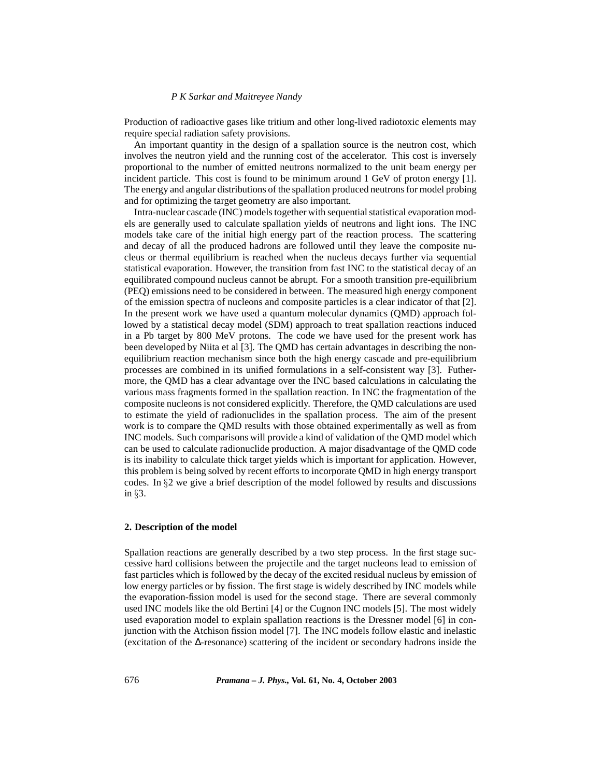Production of radioactive gases like tritium and other long-lived radiotoxic elements may require special radiation safety provisions.

An important quantity in the design of a spallation source is the neutron cost, which involves the neutron yield and the running cost of the accelerator. This cost is inversely proportional to the number of emitted neutrons normalized to the unit beam energy per incident particle. This cost is found to be minimum around 1 GeV of proton energy [1]. The energy and angular distributions of the spallation produced neutrons for model probing and for optimizing the target geometry are also important.

Intra-nuclear cascade (INC) models together with sequential statistical evaporation models are generally used to calculate spallation yields of neutrons and light ions. The INC models take care of the initial high energy part of the reaction process. The scattering and decay of all the produced hadrons are followed until they leave the composite nucleus or thermal equilibrium is reached when the nucleus decays further via sequential statistical evaporation. However, the transition from fast INC to the statistical decay of an equilibrated compound nucleus cannot be abrupt. For a smooth transition pre-equilibrium (PEQ) emissions need to be considered in between. The measured high energy component of the emission spectra of nucleons and composite particles is a clear indicator of that [2]. In the present work we have used a quantum molecular dynamics (QMD) approach followed by a statistical decay model (SDM) approach to treat spallation reactions induced in a Pb target by 800 MeV protons. The code we have used for the present work has been developed by Niita et al [3]. The QMD has certain advantages in describing the nonequilibrium reaction mechanism since both the high energy cascade and pre-equilibrium processes are combined in its unified formulations in a self-consistent way [3]. Futhermore, the QMD has a clear advantage over the INC based calculations in calculating the various mass fragments formed in the spallation reaction. In INC the fragmentation of the composite nucleons is not considered explicitly. Therefore, the QMD calculations are used to estimate the yield of radionuclides in the spallation process. The aim of the present work is to compare the QMD results with those obtained experimentally as well as from INC models. Such comparisons will provide a kind of validation of the QMD model which can be used to calculate radionuclide production. A major disadvantage of the QMD code is its inability to calculate thick target yields which is important for application. However, this problem is being solved by recent efforts to incorporate QMD in high energy transport codes. In  $\S2$  we give a brief description of the model followed by results and discussions in  $§3$ .

#### **2. Description of the model**

Spallation reactions are generally described by a two step process. In the first stage successive hard collisions between the projectile and the target nucleons lead to emission of fast particles which is followed by the decay of the excited residual nucleus by emission of low energy particles or by fission. The first stage is widely described by INC models while the evaporation-fission model is used for the second stage. There are several commonly used INC models like the old Bertini [4] or the Cugnon INC models [5]. The most widely used evaporation model to explain spallation reactions is the Dressner model [6] in conjunction with the Atchison fission model [7]. The INC models follow elastic and inelastic (excitation of the ∆-resonance) scattering of the incident or secondary hadrons inside the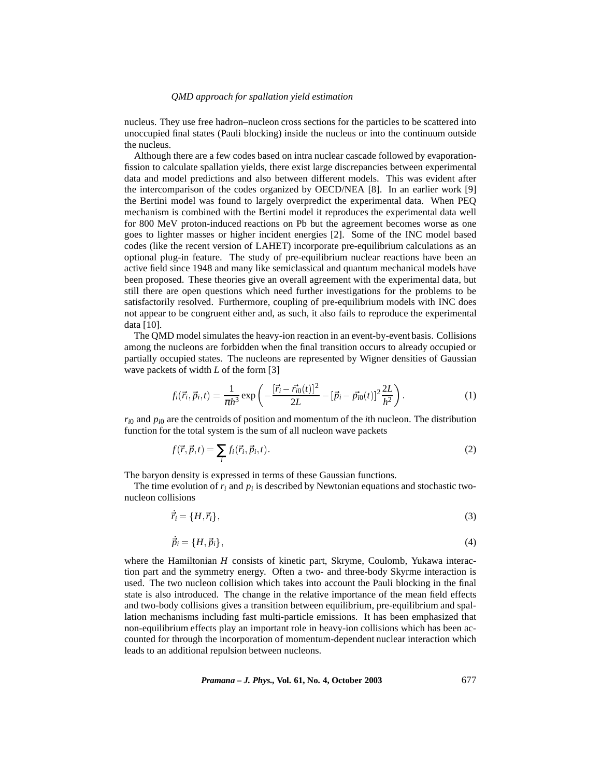nucleus. They use free hadron–nucleon cross sections for the particles to be scattered into unoccupied final states (Pauli blocking) inside the nucleus or into the continuum outside the nucleus.

Although there are a few codes based on intra nuclear cascade followed by evaporationfission to calculate spallation yields, there exist large discrepancies between experimental data and model predictions and also between different models. This was evident after the intercomparison of the codes organized by OECD/NEA [8]. In an earlier work [9] the Bertini model was found to largely overpredict the experimental data. When PEQ mechanism is combined with the Bertini model it reproduces the experimental data well for 800 MeV proton-induced reactions on Pb but the agreement becomes worse as one goes to lighter masses or higher incident energies [2]. Some of the INC model based codes (like the recent version of LAHET) incorporate pre-equilibrium calculations as an optional plug-in feature. The study of pre-equilibrium nuclear reactions have been an active field since 1948 and many like semiclassical and quantum mechanical models have been proposed. These theories give an overall agreement with the experimental data, but still there are open questions which need further investigations for the problems to be satisfactorily resolved. Furthermore, coupling of pre-equilibrium models with INC does not appear to be congruent either and, as such, it also fails to reproduce the experimental data [10].

The QMD model simulates the heavy-ion reaction in an event-by-event basis. Collisions among the nucleons are forbidden when the final transition occurs to already occupied or partially occupied states. The nucleons are represented by Wigner densities of Gaussian wave packets of width *L* of the form [3]

$$
f_i(\vec{r}_i, \vec{p}_i, t) = \frac{1}{\pi h^3} \exp\left(-\frac{[\vec{r}_i - \vec{r}_{i0}(t)]^2}{2L} - [\vec{p}_i - \vec{p}_{i0}(t)]^2 \frac{2L}{h^2}\right).
$$
 (1)

 $r_{i0}$  and  $p_{i0}$  are the centroids of position and momentum of the *i*th nucleon. The distribution function for the total system is the sum of all nucleon wave packets

$$
f(\vec{r}, \vec{p}, t) = \sum_{i} f_i(\vec{r}_i, \vec{p}_i, t).
$$
 (2)

The baryon density is expressed in terms of these Gaussian functions.

The time evolution of  $r_i$  and  $p_i$  is described by Newtonian equations and stochastic twonucleon collisions

$$
\dot{\vec{r}}_i = \{H, \vec{r}_i\},\tag{3}
$$

$$
\dot{\vec{p}}_i = \{H, \vec{p}_i\},\tag{4}
$$

where the Hamiltonian *H* consists of kinetic part, Skryme, Coulomb, Yukawa interaction part and the symmetry energy. Often a two- and three-body Skyrme interaction is used. The two nucleon collision which takes into account the Pauli blocking in the final state is also introduced. The change in the relative importance of the mean field effects and two-body collisions gives a transition between equilibrium, pre-equilibrium and spallation mechanisms including fast multi-particle emissions. It has been emphasized that non-equilibrium effects play an important role in heavy-ion collisions which has been accounted for through the incorporation of momentum-dependent nuclear interaction which leads to an additional repulsion between nucleons.

*Pramana – J. Phys.,* **Vol. 61, No. 4, October 2003** 677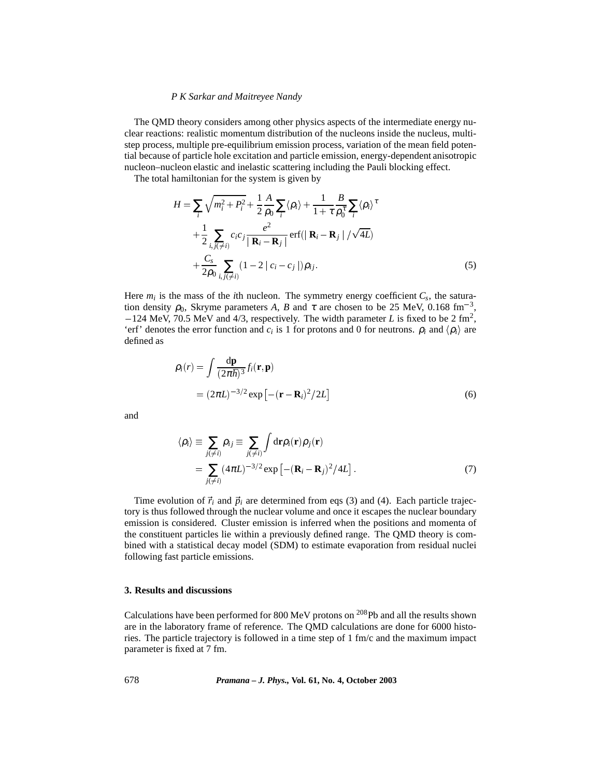The QMD theory considers among other physics aspects of the intermediate energy nuclear reactions: realistic momentum distribution of the nucleons inside the nucleus, multistep process, multiple pre-equilibrium emission process, variation of the mean field potential because of particle hole excitation and particle emission, energy-dependent anisotropic nucleon–nucleon elastic and inelastic scattering including the Pauli blocking effect.

The total hamiltonian for the system is given by

$$
H = \sum_{i} \sqrt{m_i^2 + P_i^2} + \frac{1}{2} \frac{A}{\rho_0} \sum_{i} \langle \rho_i \rangle + \frac{1}{1 + \tau} \frac{B}{\rho_0^{\tau}} \sum_{i} \langle \rho_i \rangle^{\tau} + \frac{1}{2} \sum_{i,j(\neq i)} c_i c_j \frac{e^2}{|\mathbf{R}_i - \mathbf{R}_j|} \operatorname{erf}(|\mathbf{R}_i - \mathbf{R}_j| / \sqrt{4L}) + \frac{C_s}{2\rho_0} \sum_{i,j(\neq i)} (1 - 2 |c_i - c_j|) \rho_{ij}.
$$
\n(5)

Here  $m_i$  is the mass of the *i*th nucleon. The symmetry energy coefficient  $C_s$ , the saturation density  $\rho_0$ , Skryme parameters *A*, *B* and  $\tau$  are chosen to be 25 MeV, 0.168 fm<sup>-3</sup>,  $-124$  MeV, 70.5 MeV and 4/3, respectively. The width parameter *L* is fixed to be 2 fm<sup>2</sup>, 'erf' denotes the error function and  $c_i$  is 1 for protons and 0 for neutrons.  $\rho_i$  and  $\langle \rho_i \rangle$  are defined as

$$
\rho_i(r) = \int \frac{d\mathbf{p}}{(2\pi\hbar)^3} f_i(\mathbf{r}, \mathbf{p})
$$

$$
= (2\pi L)^{-3/2} \exp\left[-(\mathbf{r} - \mathbf{R}_i)^2 / 2L\right]
$$
(6)

and

$$
\langle \rho_i \rangle \equiv \sum_{j(\neq i)} \rho_{ij} \equiv \sum_{j(\neq i)} \int d\mathbf{r} \rho_i(\mathbf{r}) \rho_j(\mathbf{r})
$$
  
= 
$$
\sum_{j(\neq i)} (4\pi L)^{-3/2} \exp \left[ -(\mathbf{R}_i - \mathbf{R}_j)^2 / 4L \right].
$$
 (7)

Time evolution of  $\vec{r}_i$  and  $\vec{p}_i$  are determined from eqs (3) and (4). Each particle trajectory is thus followed through the nuclear volume and once it escapes the nuclear boundary emission is considered. Cluster emission is inferred when the positions and momenta of the constituent particles lie within a previously defined range. The QMD theory is combined with a statistical decay model (SDM) to estimate evaporation from residual nuclei following fast particle emissions.

#### **3. Results and discussions**

Calculations have been performed for 800 MeV protons on 208Pb and all the results shown are in the laboratory frame of reference. The QMD calculations are done for 6000 histories. The particle trajectory is followed in a time step of 1 fm/c and the maximum impact parameter is fixed at 7 fm.

678 *Pramana – J. Phys.,* **Vol. 61, No. 4, October 2003**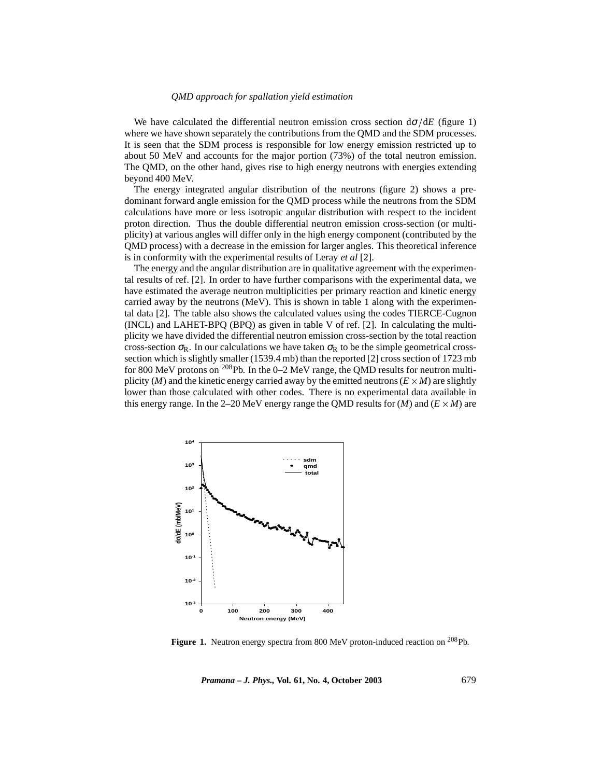We have calculated the differential neutron emission cross section  $d\sigma/dE$  (figure 1) where we have shown separately the contributions from the QMD and the SDM processes. It is seen that the SDM process is responsible for low energy emission restricted up to about 50 MeV and accounts for the major portion (73%) of the total neutron emission. The QMD, on the other hand, gives rise to high energy neutrons with energies extending beyond 400 MeV.

The energy integrated angular distribution of the neutrons (figure 2) shows a predominant forward angle emission for the QMD process while the neutrons from the SDM calculations have more or less isotropic angular distribution with respect to the incident proton direction. Thus the double differential neutron emission cross-section (or multiplicity) at various angles will differ only in the high energy component (contributed by the QMD process) with a decrease in the emission for larger angles. This theoretical inference is in conformity with the experimental results of Leray *et al* [2].

The energy and the angular distribution are in qualitative agreement with the experimental results of ref. [2]. In order to have further comparisons with the experimental data, we have estimated the average neutron multiplicities per primary reaction and kinetic energy carried away by the neutrons (MeV). This is shown in table 1 along with the experimental data [2]. The table also shows the calculated values using the codes TIERCE-Cugnon (INCL) and LAHET-BPQ (BPQ) as given in table V of ref. [2]. In calculating the multiplicity we have divided the differential neutron emission cross-section by the total reaction cross-section  $\sigma_R$ . In our calculations we have taken  $\sigma_R$  to be the simple geometrical crosssection which is slightly smaller (1539.4 mb) than the reported [2] cross section of 1723 mb for 800 MeV protons on <sup>208</sup>Pb. In the 0–2 MeV range, the QMD results for neutron multiplicity (*M*) and the kinetic energy carried away by the emitted neutrons ( $E \times M$ ) are slightly lower than those calculated with other codes. There is no experimental data available in this energy range. In the 2–20 MeV energy range the QMD results for  $(M)$  and  $(E \times M)$  are



Figure 1. Neutron energy spectra from 800 MeV proton-induced reaction on <sup>208</sup>Pb.

*Pramana – J. Phys.,* **Vol. 61, No. 4, October 2003** 679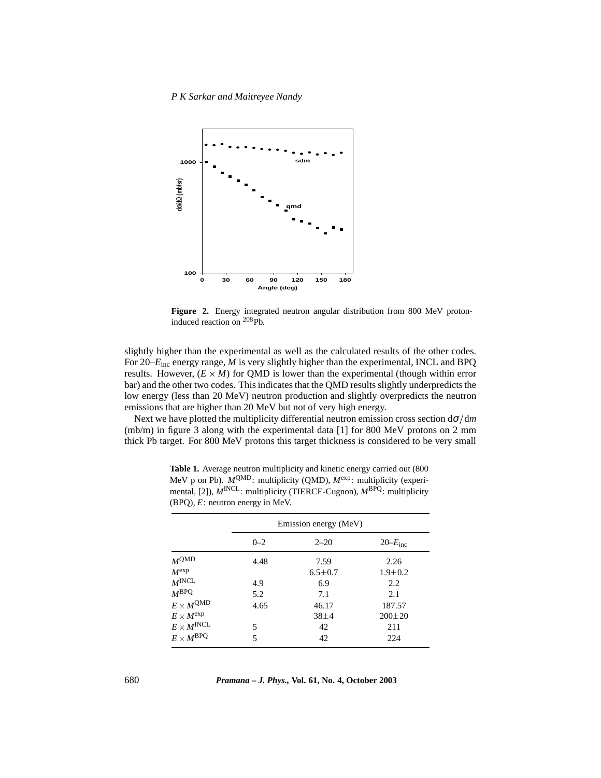

**Figure 2.** Energy integrated neutron angular distribution from 800 MeV protoninduced reaction on 208Pb.

slightly higher than the experimental as well as the calculated results of the other codes. For 20–*E*<sub>inc</sub> energy range, *M* is very slightly higher than the experimental, INCL and BPQ results. However,  $(E \times M)$  for QMD is lower than the experimental (though within error bar) and the other two codes. This indicates that the QMD results slightly underpredicts the low energy (less than 20 MeV) neutron production and slightly overpredicts the neutron emissions that are higher than 20 MeV but not of very high energy.

Next we have plotted the multiplicity differential neutron emission cross section  $d\sigma/dm$ (mb/m) in figure 3 along with the experimental data [1] for 800 MeV protons on 2 mm thick Pb target. For 800 MeV protons this target thickness is considered to be very small

|                             |         | Emission energy (MeV) |                     |
|-----------------------------|---------|-----------------------|---------------------|
|                             | $0 - 2$ | $2 - 20$              | $20-E_{\text{inc}}$ |
| $M^{\mathrm{QMD}}$          | 4.48    | 7.59                  | 2.26                |
| $M^{\text{exp}}$            |         | $6.5 \pm 0.7$         | $1.9 \pm 0.2$       |
| $M^{\rm INCL}$              | 4.9     | 6.9                   | 2.2                 |
| $M^{\rm BPQ}$               | 5.2     | 7.1                   | 2.1                 |
| $E\times M^{\text{QMD}}$    | 4.65    | 46.17                 | 187.57              |
| $E\times M^{\rm exp}$       |         | $38 + 4$              | $200 - 20$          |
| $E\times M^{\rm INCL}$      | 5       | 42                    | 211                 |
| $E \times M^{\mathrm{BPO}}$ | 5       | 42                    | 224                 |

**Table 1.** Average neutron multiplicity and kinetic energy carried out (800 MeV p on Pb). *M*QMD: multiplicity (QMD),  $M^{\text{exp}}$ : multiplicity (experimental, [2]),  $M^{\text{INCL}}$ : multiplicity (TIERCE-Cugnon),  $M^{\text{BPQ}}$ : multiplicity (BPQ), *E*: neutron energy in MeV.

680 *Pramana – J. Phys.,* **Vol. 61, No. 4, October 2003**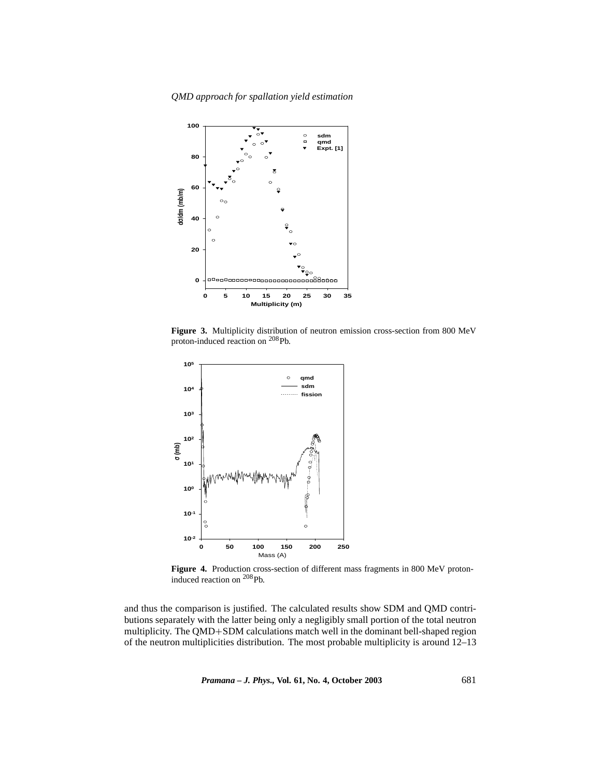

**Figure 3.** Multiplicity distribution of neutron emission cross-section from 800 MeV proton-induced reaction on 208Pb.



**Figure 4.** Production cross-section of different mass fragments in 800 MeV protoninduced reaction on 208Pb.

and thus the comparison is justified. The calculated results show SDM and QMD contributions separately with the latter being only a negligibly small portion of the total neutron multiplicity. The QMD+SDM calculations match well in the dominant bell-shaped region of the neutron multiplicities distribution. The most probable multiplicity is around 12–13

*Pramana – J. Phys.,* **Vol. 61, No. 4, October 2003** 681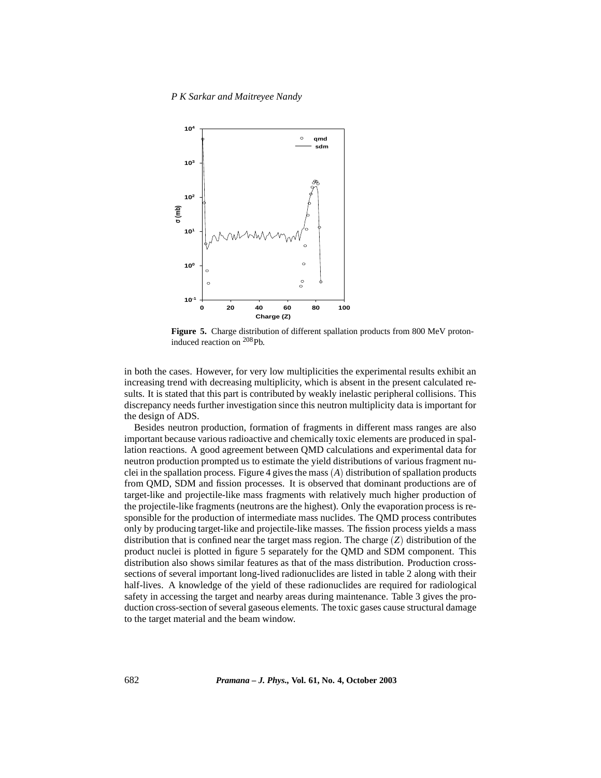

**Figure 5.** Charge distribution of different spallation products from 800 MeV protoninduced reaction on 208Pb.

in both the cases. However, for very low multiplicities the experimental results exhibit an increasing trend with decreasing multiplicity, which is absent in the present calculated results. It is stated that this part is contributed by weakly inelastic peripheral collisions. This discrepancy needs further investigation since this neutron multiplicity data is important for the design of ADS.

Besides neutron production, formation of fragments in different mass ranges are also important because various radioactive and chemically toxic elements are produced in spallation reactions. A good agreement between QMD calculations and experimental data for neutron production prompted us to estimate the yield distributions of various fragment nuclei in the spallation process. Figure 4 gives the mass (A) distribution of spallation products from QMD, SDM and fission processes. It is observed that dominant productions are of target-like and projectile-like mass fragments with relatively much higher production of the projectile-like fragments (neutrons are the highest). Only the evaporation process is responsible for the production of intermediate mass nuclides. The QMD process contributes only by producing target-like and projectile-like masses. The fission process yields a mass distribution that is confined near the target mass region. The charge  $(Z)$  distribution of the product nuclei is plotted in figure 5 separately for the QMD and SDM component. This distribution also shows similar features as that of the mass distribution. Production crosssections of several important long-lived radionuclides are listed in table 2 along with their half-lives. A knowledge of the yield of these radionuclides are required for radiological safety in accessing the target and nearby areas during maintenance. Table 3 gives the production cross-section of several gaseous elements. The toxic gases cause structural damage to the target material and the beam window.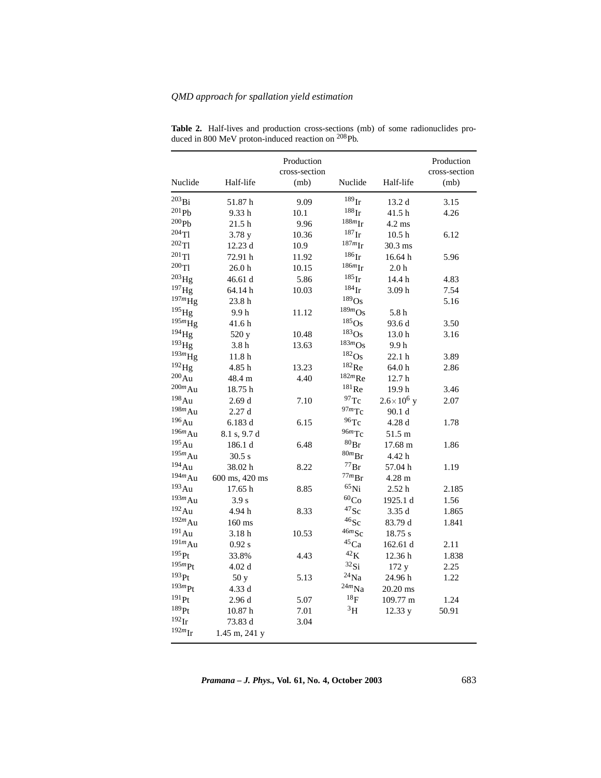|                     |                    | Production<br>cross-section |                       |                     | Production<br>cross-section |
|---------------------|--------------------|-----------------------------|-----------------------|---------------------|-----------------------------|
| Nuclide             | Half-life          | (mb)                        | Nuclide               | Half-life           | (mb)                        |
| $203$ Bi            | 51.87h             | 9.09                        | $189$ Ir              | 13.2 d              | 3.15                        |
| $^{201}Pb$          | 9.33h              | 10.1                        | $188$ <sub>Ir</sub>   | 41.5h               | 4.26                        |
| 200Pb               | 21.5h              | 9.96                        | $188m$ <sub>Ir</sub>  | $4.2 \text{ ms}$    |                             |
| $^{204}$ Tl         | 3.78 y             | 10.36                       | $187$ $\text{Ir}$     | 10.5 <sub>h</sub>   | 6.12                        |
| $202$ Tl            | 12.23 d            | 10.9                        | $187m$ Ir             | $30.3$ ms           |                             |
| $^{201}$ Tl         | 72.91 h            | 11.92                       | $186$ Ir              | 16.64h              | 5.96                        |
| $200$ Tl            | 26.0 <sub>h</sub>  | 10.15                       | $186m$ <sub>Ir</sub>  | 2.0 <sub>h</sub>    |                             |
| $^{203}$ Hg         | 46.61 d            | 5.86                        | $185$ $\text{Ir}$     | 14.4 h              | 4.83                        |
| $^{197}$ Hg         | 64.14h             | 10.03                       | $^{184}\mathrm{Ir}$   | 3.09h               | 7.54                        |
| $197m$ Hg           | 23.8h              |                             | $189$ Os              |                     | 5.16                        |
| $195$ Hg            | 9.9 <sub>h</sub>   | 11.12                       | $189m$ Os             | 5.8 <sub>h</sub>    |                             |
| $195m$ Hg           | 41.6h              |                             | $185$ Os              | 93.6 d              | 3.50                        |
| $194$ Hg            | 520 y              | 10.48                       | $183$ Os              | 13.0h               | 3.16                        |
| $^{193}$ Hg         | 3.8 <sub>h</sub>   | 13.63                       | $183m$ Os             | 9.9 <sub>h</sub>    |                             |
| $193m$ Hg           | 11.8 <sub>h</sub>  |                             | ${}^{182}\mathrm{Os}$ | 22.1 h              | 3.89                        |
| $^{192}$ Hg         | 4.85 h             | 13.23                       | $^{182}\mathrm{Re}$   | 64.0h               | 2.86                        |
| $200$ Au            | 48.4 m             | 4.40                        | $182m$ Re             | 12.7 <sub>h</sub>   |                             |
| $200m$ Au           | 18.75h             |                             | $^{181}\mathrm{Re}$   | 19.9h               | 3.46                        |
| $198\,\mathrm{Au}$  | 2.69d              | 7.10                        | $^{97}\mathrm{Tc}$    | $2.6\times10^{6}$ y | 2.07                        |
| $198m$ Au           | 2.27d              |                             | $97m$ Tc              | 90.1 d              |                             |
| 196Au               | 6.183 d            | 6.15                        | 96Tc                  | 4.28d               | 1.78                        |
| $196m$ Au           | 8.1 s, 9.7 d       |                             | $96m$ Tc              | 51.5 m              |                             |
| 195Au               | 186.1 d            | 6.48                        | ${}^{80}\rm{Br}$      | 17.68 m             | 1.86                        |
| $195m$ Au           | $30.5$ s           |                             | ${}^{80m}\rm{Br}$     | 4.42 h              |                             |
| $194$ Au            | 38.02 h            | 8.22                        | $^{77}\rm{Br}$        | 57.04 h             | 1.19                        |
| $194m$ Au           | 600 ms, 420 ms     |                             | $^{77m}\rm{Br}$       | 4.28 m              |                             |
| 193Au               | 17.65 h            | 8.85                        | $^{65}{\rm Ni}$       | 2.52h               | 2.185                       |
| $193m$ Au           | 3.9 s              |                             | $^{60}\mathrm{Co}$    | 1925.1 d            | 1.56                        |
| $192$ Au            | 4.94 h             | 8.33                        | $^{47}{\rm Sc}$       | 3.35d               | 1.865                       |
| $192m$ Au           | $160$ ms           |                             | $^{46}\mathrm{Sc}$    | 83.79 d             | 1.841                       |
| $^{191}$ Au         | 3.18h              | 10.53                       | $46m$ Sc              | 18.75 s             |                             |
| $191m$ Au           | 0.92 s             |                             | $^{45}\mathrm{Ca}$    | 162.61 d            | 2.11                        |
| 195Pt               | 33.8%              | 4.43                        | $^{42}{\rm K}$        | 12.36 h             | 1.838                       |
| $195m$ Pt           | 4.02 d             |                             | $32$ Si               | 172 y               | 2.25                        |
| 193Pt               | 50 y               | 5.13                        | $^{24}\rm{Na}$        | 24.96 h             | 1.22                        |
| $193m$ Pt           | 4.33 d             |                             | $^{24m}{\rm Na}$      | $20.20$ ms          |                             |
| 191Pt               | 2.96d              | 5.07                        | $^{18}{\rm F}$        | 109.77 m            | 1.24                        |
| 189Pt               | $10.87~\mathrm{h}$ | 7.01                        | 3H                    | 12.33 y             | 50.91                       |
| $192$ <sub>Ir</sub> | 73.83 d            | 3.04                        |                       |                     |                             |
| $192m$ Ir           | 1.45 m, 241 y      |                             |                       |                     |                             |

**Table 2.** Half-lives and production cross-sections (mb) of some radionuclides produced in 800 MeV proton-induced reaction on <sup>208</sup>Pb.

*Pramana – J. Phys.,* **Vol. 61, No. 4, October 2003** 683